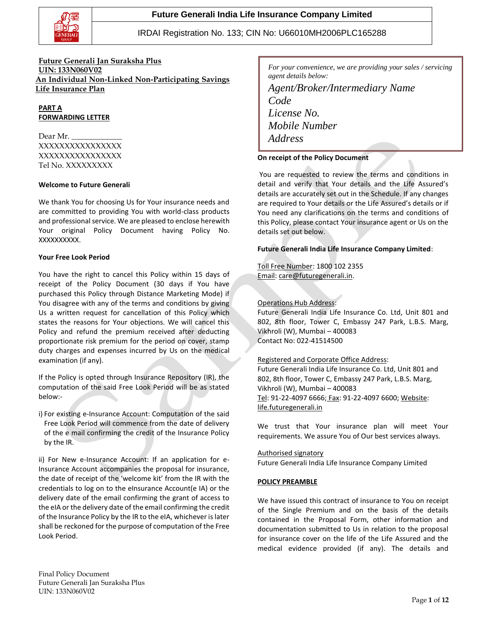

**Future Generali Jan Suraksha Plus UIN: 133N060V02 An Individual Non-Linked Non-Participating Savings Life Insurance Plan**

**PART A FORWARDING LETTER**

Dear Mr. XXXXXXXXXXXXXXXX XXXXXXXXXXXXXXXX Tel No. XXXXXXXXX

#### **Welcome to Future Generali**

We thank You for choosing Us for Your insurance needs and are committed to providing You with world-class products and professional service. We are pleased to enclose herewith Your original Policy Document having Policy No. XXXXXXXXXX.

#### **Your Free Look Period**

You have the right to cancel this Policy within 15 days of receipt of the Policy Document (30 days if You have purchased this Policy through Distance Marketing Mode) if You disagree with any of the terms and conditions by giving Us a written request for cancellation of this Policy which states the reasons for Your objections. We will cancel this Policy and refund the premium received after deducting proportionate risk premium for the period on cover, stamp duty charges and expenses incurred by Us on the medical examination (if any).

If the Policy is opted through Insurance Repository (IR), the computation of the said Free Look Period will be as stated below:-

i) For existing e-Insurance Account: Computation of the said Free Look Period will commence from the date of delivery of the e mail confirming the credit of the Insurance Policy by the IR.

ii) For New e-Insurance Account: If an application for e-Insurance Account accompanies the proposal for insurance, the date of receipt of the 'welcome kit' from the IR with the credentials to log on to the eInsurance Account(e IA) or the delivery date of the email confirming the grant of access to the eIA or the delivery date of the email confirming the credit of the Insurance Policy by the IR to the eIA, whichever is later shall be reckoned for the purpose of computation of the Free Look Period.

*For your convenience, we are providing your sales / servicing agent details below:*

# *Agent/Broker/Intermediary Name Code License No. Mobile Number Address*

### **On receipt of the Policy Document** *Email Id*

You are requested to review the terms and conditions in detail and verify that Your details and the Life Assured's details are accurately set out in the Schedule. If any changes are required to Your details or the Life Assured's details or if You need any clarifications on the terms and conditions of this Policy, please contact Your insurance agent or Us on the details set out below.

### **Future Generali India Life Insurance Company Limited**:

Toll Free Number: 1800 102 2355 Email: [care@futuregenerali.in.](mailto:care@futuregenerali.in)

### Operations Hub Address:

Future Generali India Life Insurance Co. Ltd, Unit 801 and 802, 8th floor, Tower C, Embassy 247 Park, L.B.S. Marg, Vikhroli (W), Mumbai – 400083 Contact No: 022-41514500

### Registered and Corporate Office Address:

Future Generali India Life Insurance Co. Ltd, Unit 801 and 802, 8th floor, Tower C, Embassy 247 Park, L.B.S. Marg, Vikhroli (W), Mumbai – 400083 Tel: 91-22-4097 6666; Fax: 91-22-4097 6600; Website[:](http://www.futuregenerali.in/) [life.futuregenerali.in](http://www.futuregenerali.in/)

We trust that Your insurance plan will meet Your requirements. We assure You of Our best services always.

Authorised signatory Future Generali India Life Insurance Company Limited

#### **POLICY PREAMBLE**

We have issued this contract of insurance to You on receipt of the Single Premium and on the basis of the details contained in the Proposal Form, other information and documentation submitted to Us in relation to the proposal for insurance cover on the life of the Life Assured and the medical evidence provided (if any). The details and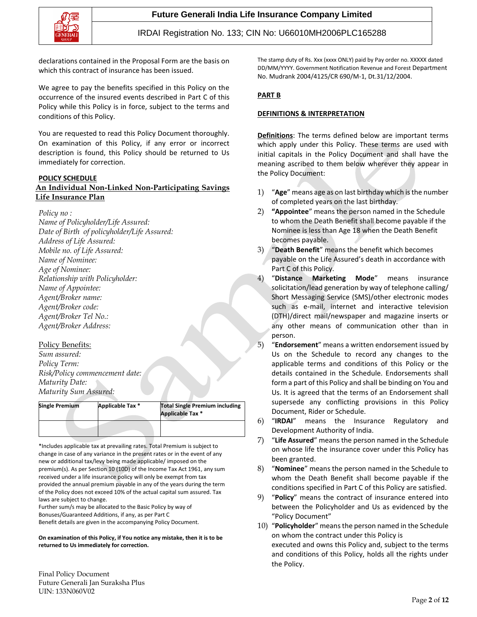

declarations contained in the Proposal Form are the basis on which this contract of insurance has been issued.

We agree to pay the benefits specified in this Policy on the occurrence of the insured events described in Part C of this Policy while this Policy is in force, subject to the terms and conditions of this Policy.

You are requested to read this Policy Document thoroughly. On examination of this Policy, if any error or incorrect description is found, this Policy should be returned to Us immediately for correction.

#### **POLICY SCHEDULE**

### **An Individual Non-Linked Non-Participating Savings Life Insurance Plan**

*Policy no :*

*Name of Policyholder/Life Assured: Date of Birth of policyholder/Life Assured: Address of Life Assured: Mobile no. of Life Assured: Name of Nominee: Age of Nominee: Relationship with Policyholder: Name of Appointee: Agent/Broker name: Agent/Broker code: Agent/Broker Tel No.: Agent/Broker Address:*

### Policy Benefits:

*Sum assured: Policy Term: Risk/Policy commencement date: Maturity Date: Maturity Sum Assured:*

| <b>Single Premium</b> | Applicable Tax * | <b>Total Single Premium including</b><br>Applicable Tax * |  |  |  |
|-----------------------|------------------|-----------------------------------------------------------|--|--|--|
|                       |                  |                                                           |  |  |  |

\*Includes applicable tax at prevailing rates. Total Premium is subject to change in case of any variance in the present rates or in the event of any new or additional tax/levy being made applicable/ imposed on the premium(s). As per Section 10 (10D) of the Income Tax Act 1961, any sum received under a life insurance policy will only be exempt from tax provided the annual premium payable in any of the years during the term of the Policy does not exceed 10% of the actual capital sum assured. Tax laws are subject to change.

Further sum/s may be allocated to the Basic Policy by way of Bonuses/Guaranteed Additions, if any, as per Part C Benefit details are given in the accompanying Policy Document.

**On examination of this Policy, if You notice any mistake, then it is to be returned to Us immediately for correction.**

The stamp duty of Rs. Xxx (xxxx ONLY) paid by Pay order no. XXXXX dated DD/MM/YYYY. Government Notification Revenue and Forest Department No. Mudrank 2004/4125/CR 690/M-1, Dt.31/12/2004.

### **PART B**

### **DEFINITIONS & INTERPRETATION**

**Definitions**: The terms defined below are important terms which apply under this Policy. These terms are used with initial capitals in the Policy Document and shall have the meaning ascribed to them below wherever they appear in the Policy Document:

- 1) "**Age**" means age as on last birthday which is the number of completed years on the last birthday.
- 2) **"Appointee**" means the person named in the Schedule to whom the Death Benefit shall become payable if the Nominee is less than Age 18 when the Death Benefit becomes payable.
- 3) "**Death Benefit**" means the benefit which becomes payable on the Life Assured's death in accordance with Part C of this Policy.
- 4) "**Distance Marketing Mode**" means insurance solicitation/lead generation by way of telephone calling/ Short Messaging Service (SMS)/other electronic modes such as e-mail, internet and interactive television (DTH)/direct mail/newspaper and magazine inserts or any other means of communication other than in person.
- 5) "**Endorsement**" means a written endorsement issued by Us on the Schedule to record any changes to the applicable terms and conditions of this Policy or the details contained in the Schedule. Endorsements shall form a part of this Policy and shall be binding on You and Us. It is agreed that the terms of an Endorsement shall supersede any conflicting provisions in this Policy Document, Rider or Schedule.
- 6) "**IRDAI**" means the Insurance Regulatory and Development Authority of India.
- 7) "**Life Assured**" means the person named in the Schedule on whose life the insurance cover under this Policy has been granted.
- 8) "**Nominee**" means the person named in the Schedule to whom the Death Benefit shall become payable if the conditions specified in Part C of this Policy are satisfied.
- 9) "**Policy**" means the contract of insurance entered into between the Policyholder and Us as evidenced by the "Policy Document"
- 10) "**Policyholder**" means the person named in the Schedule on whom the contract under this Policy is executed and owns this Policy and, subject to the terms and conditions of this Policy, holds all the rights under the Policy.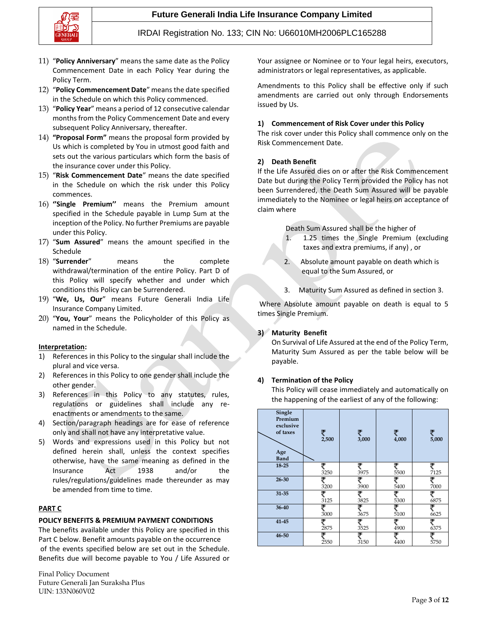



- 11) "**Policy Anniversary**" means the same date as the Policy Commencement Date in each Policy Year during the Policy Term.
- 12) "**Policy Commencement Date**" means the date specified in the Schedule on which this Policy commenced.
- 13) "**Policy Year**" means a period of 12 consecutive calendar months from the Policy Commencement Date and every subsequent Policy Anniversary, thereafter.
- 14) **"Proposal Form"** means the proposal form provided by Us which is completed by You in utmost good faith and sets out the various particulars which form the basis of the insurance cover under this Policy.
- 15) "**Risk Commencement Date**" means the date specified in the Schedule on which the risk under this Policy commences.
- 16) **''Single Premium''** means the Premium amount specified in the Schedule payable in Lump Sum at the inception of the Policy. No further Premiums are payable under this Policy.
- 17) "**Sum Assured**" means the amount specified in the Schedule
- 18) "**Surrender**" means the complete withdrawal/termination of the entire Policy. Part D of this Policy will specify whether and under which conditions this Policy can be Surrendered.
- 19) "**We, Us, Our**" means Future Generali India Life Insurance Company Limited.
- 20) "**You, Your**" means the Policyholder of this Policy as named in the Schedule.

#### **Interpretation:**

- 1) References in this Policy to the singular shall include the plural and vice versa.
- 2) References in this Policy to one gender shall include the other gender.
- 3) References in this Policy to any statutes, rules, regulations or guidelines shall include any reenactments or amendments to the same.
- 4) Section/paragraph headings are for ease of reference only and shall not have any interpretative value.
- 5) Words and expressions used in this Policy but not defined herein shall, unless the context specifies otherwise, have the same meaning as defined in the Insurance Act 1938 and/or the rules/regulations/guidelines made thereunder as may be amended from time to time.

### **PART C**

### **POLICY BENEFITS & PREMIUM PAYMENT CONDITIONS**

The benefits available under this Policy are specified in this Part C below. Benefit amounts payable on the occurrence of the events specified below are set out in the Schedule. Benefits due will become payable to You / Life Assured or

Final Policy Document Future Generali Jan Suraksha Plus UIN: 133N060V02

Your assignee or Nominee or to Your legal heirs, executors, administrators or legal representatives, as applicable.

Amendments to this Policy shall be effective only if such amendments are carried out only through Endorsements issued by Us.

#### **1) Commencement of Risk Cover under this Policy**

The risk cover under this Policy shall commence only on the Risk Commencement Date.

#### **2) Death Benefit**

If the Life Assured dies on or after the Risk Commencement Date but during the Policy Term provided the Policy has not been Surrendered, the Death Sum Assured will be payable immediately to the Nominee or legal heirs on acceptance of claim where

Death Sum Assured shall be the higher of

- 1. 1.25 times the Single Premium (excluding taxes and extra premiums, if any) , or
- 2. Absolute amount payable on death which is equal to the Sum Assured, or
- 3. Maturity Sum Assured as defined in section 3.

Where Absolute amount payable on death is equal to 5 times Single Premium.

### **3) Maturity Benefit**

On Survival of Life Assured at the end of the Policy Term, Maturity Sum Assured as per the table below will be payable.

#### **4) Termination of the Policy**

This Policy will cease immediately and automatically on the happening of the earliest of any of the following:

| Single<br>Premium<br>exclusive<br>of taxes<br>Age<br><b>Band</b> | ₹<br>2,500 | ₹<br>3,000 | ₹<br>4,000 | ₹<br>5,000 |
|------------------------------------------------------------------|------------|------------|------------|------------|
| 18-25                                                            | ₹          | ₹          | ₹          | ₹          |
|                                                                  | 3250       | 3975       | 5500       | 7125       |
| $26 - 30$                                                        | ₹          | ₹          | ₹          | ₹          |
|                                                                  | 3200       | 3900       | 5400       | 7000       |
| $31 - 35$                                                        | ₹          | ₹          | ₹          | ₹          |
|                                                                  | 3125       | 3825       | 5300       | 6875       |
| 36-40                                                            | 3000       | 3675       | ₹<br>5100  | ₹<br>6625  |
| 41-45                                                            | ₹          | ᢖ          | ₹          | ₹          |
|                                                                  | 2875       | 3525       | 4900       | 6375       |
| 46-50                                                            | ₹          | ₹          | ₹          | ₹          |
|                                                                  | 2550       | 3150       | 4400       | 5750       |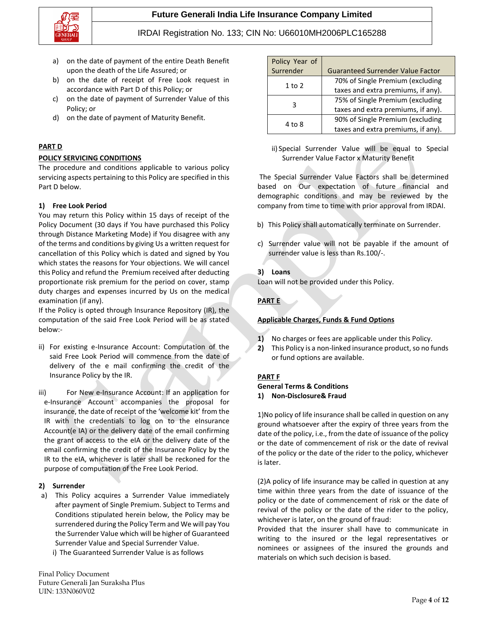**Future Generali India Life Insurance Company Limited**



### IRDAI Registration No. 133; CIN No: U66010MH2006PLC165288

- a) on the date of payment of the entire Death Benefit upon the death of the Life Assured; or
- b) on the date of receipt of Free Look request in accordance with Part D of this Policy; or
- c) on the date of payment of Surrender Value of this Policy; or
- d) on the date of payment of Maturity Benefit.

### **PART D**

### **POLICY SERVICING CONDITIONS**

The procedure and conditions applicable to various policy servicing aspects pertaining to this Policy are specified in this Part D below.

### **1) Free Look Period**

You may return this Policy within 15 days of receipt of the Policy Document (30 days if You have purchased this Policy through Distance Marketing Mode) if You disagree with any of the terms and conditions by giving Us a written request for cancellation of this Policy which is dated and signed by You which states the reasons for Your objections. We will cancel this Policy and refund the Premium received after deducting proportionate risk premium for the period on cover, stamp duty charges and expenses incurred by Us on the medical examination (if any).

If the Policy is opted through Insurance Repository (IR), the computation of the said Free Look Period will be as stated below:-

- ii) For existing e-Insurance Account: Computation of the said Free Look Period will commence from the date of delivery of the e mail confirming the credit of the Insurance Policy by the IR.
- iii) For New e-Insurance Account: If an application for e-Insurance Account accompanies the proposal for insurance, the date of receipt of the 'welcome kit' from the IR with the credentials to log on to the eInsurance Account(e IA) or the delivery date of the email confirming the grant of access to the eIA or the delivery date of the email confirming the credit of the Insurance Policy by the IR to the eIA, whichever is later shall be reckoned for the purpose of computation of the Free Look Period.

### **2) Surrender**

- a) This Policy acquires a Surrender Value immediately after payment of Single Premium. Subject to Terms and Conditions stipulated herein below, the Policy may be surrendered during the Policy Term and We will pay You the Surrender Value which will be higher of Guaranteed Surrender Value and Special Surrender Value.
	- i) The Guaranteed Surrender Value is as follows

Final Policy Document Future Generali Jan Suraksha Plus UIN: 133N060V02

| Policy Year of |                                          |  |
|----------------|------------------------------------------|--|
| Surrender      | <b>Guaranteed Surrender Value Factor</b> |  |
| $1$ to $2$     | 70% of Single Premium (excluding         |  |
|                | taxes and extra premiums, if any).       |  |
| 3              | 75% of Single Premium (excluding         |  |
|                | taxes and extra premiums, if any).       |  |
| 4 to 8         | 90% of Single Premium (excluding         |  |
|                | taxes and extra premiums, if any).       |  |

ii) Special Surrender Value will be equal to Special Surrender Value Factor x Maturity Benefit

The Special Surrender Value Factors shall be determined based on Our expectation of future financial and demographic conditions and may be reviewed by the company from time to time with prior approval from IRDAI.

- b) This Policy shall automatically terminate on Surrender.
- c) Surrender value will not be payable if the amount of surrender value is less than Rs.100/-.

### **3) Loans**

Loan will not be provided under this Policy.

### **PART E**

### **Applicable Charges, Funds & Fund Options**

- **1)** No charges or fees are applicable under this Policy.
- **2)** This Policy is a non-linked insurance product, so no funds or fund options are available.

### **PART F**

#### **General Terms & Conditions 1) Non-Disclosure& Fraud**

1)No policy of life insurance shall be called in question on any ground whatsoever after the expiry of three years from the date of the policy, i.e., from the date of issuance of the policy or the date of commencement of risk or the date of revival of the policy or the date of the rider to the policy, whichever is later.

(2)A policy of life insurance may be called in question at any time within three years from the date of issuance of the policy or the date of commencement of risk or the date of revival of the policy or the date of the rider to the policy, whichever is later, on the ground of fraud:

Provided that the insurer shall have to communicate in writing to the insured or the legal representatives or nominees or assignees of the insured the grounds and materials on which such decision is based.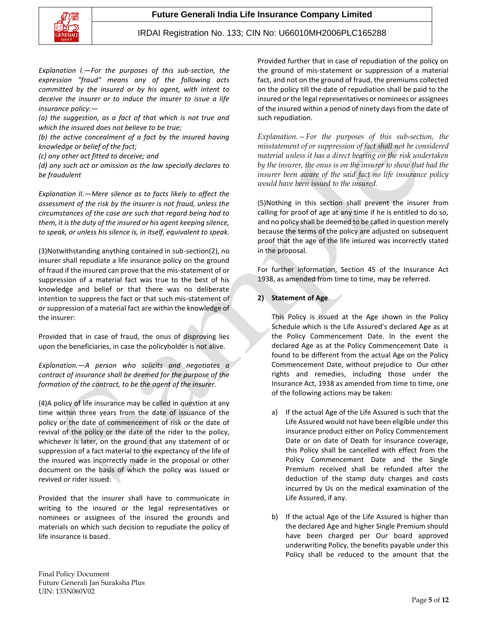

*Explanation I.—For the purposes of this sub-section, the expression "fraud" means any of the following acts committed by the insured or by his agent, with intent to deceive the insurer or to induce the insurer to issue a life insurance policy:—*

*(a) the suggestion, as a fact of that which is not true and which the insured does not believe to be true;*

*(b) the active concealment of a fact by the insured having knowledge or belief of the fact;*

*(c) any other act fitted to deceive; and*

*(d) any such act or omission as the law specially declares to be fraudulent*

*Explanation II.—Mere silence as to facts likely to affect the assessment of the risk by the insurer is not fraud, unless the circumstances of the case are such that regard being had to them, it is the duty of the insured or his agent keeping silence, to speak, or unless his silence is, in itself, equivalent to speak.*

(3)Notwithstanding anything contained in sub-section(2), no insurer shall repudiate a life insurance policy on the ground of fraud if the insured can prove that the mis-statement of or suppression of a material fact was true to the best of his knowledge and belief or that there was no deliberate intention to suppress the fact or that such mis-statement of or suppression of a material fact are within the knowledge of the insurer:

Provided that in case of fraud, the onus of disproving lies upon the beneficiaries, in case the policyholder is not alive.

*Explanation.—A person who solicits and negotiates a contract of insurance shall be deemed for the purpose of the formation of the contract, to be the agent of the insurer.*

(4)A policy of life insurance may be called in question at any time within three years from the date of issuance of the policy or the date of commencement of risk or the date of revival of the policy or the date of the rider to the policy, whichever is later, on the ground that any statement of or suppression of a fact material to the expectancy of the life of the insured was incorrectly made in the proposal or other document on the basis of which the policy was issued or revived or rider issued:

Provided that the insurer shall have to communicate in writing to the insured or the legal representatives or nominees or assignees of the insured the grounds and materials on which such decision to repudiate the policy of life insurance is based.

Provided further that in case of repudiation of the policy on the ground of mis-statement or suppression of a material fact, and not on the ground of fraud, the premiums collected on the policy till the date of repudiation shall be paid to the insured or the legal representatives or nominees or assignees of the insured within a period of ninety days from the date of such repudiation.

*Explanation.—For the purposes of this sub-section, the misstatement of or suppression of fact shall not be considered material unless it has a direct bearing on the risk undertaken by the insurer, the onus is on the insurer to show that had the insurer been aware of the said fact no life insurance policy would have been issued to the insured.*

(5)Nothing in this section shall prevent the insurer from calling for proof of age at any time if he is entitled to do so, and no policy shall be deemed to be called in question merely because the terms of the policy are adjusted on subsequent proof that the age of the life insured was incorrectly stated in the proposal.

For further information, Section 45 of the Insurance Act 1938, as amended from time to time, may be referred.

### **2) Statement of Age**

This Policy is issued at the Age shown in the Policy Schedule which is the Life Assured's declared Age as at the Policy Commencement Date. In the event the declared Age as at the Policy Commencement Date is found to be different from the actual Age on the Policy Commencement Date, without prejudice to Our other rights and remedies, including those under the Insurance Act, 1938 as amended from time to time, one of the following actions may be taken:

- a) If the actual Age of the Life Assured is such that the Life Assured would not have been eligible under this insurance product either on Policy Commencement Date or on date of Death for insurance coverage, this Policy shall be cancelled with effect from the Policy Commencement Date and the Single Premium received shall be refunded after the deduction of the stamp duty charges and costs incurred by Us on the medical examination of the Life Assured, if any.
- b) If the actual Age of the Life Assured is higher than the declared Age and higher Single Premium should have been charged per Our board approved underwriting Policy, the benefits payable under this Policy shall be reduced to the amount that the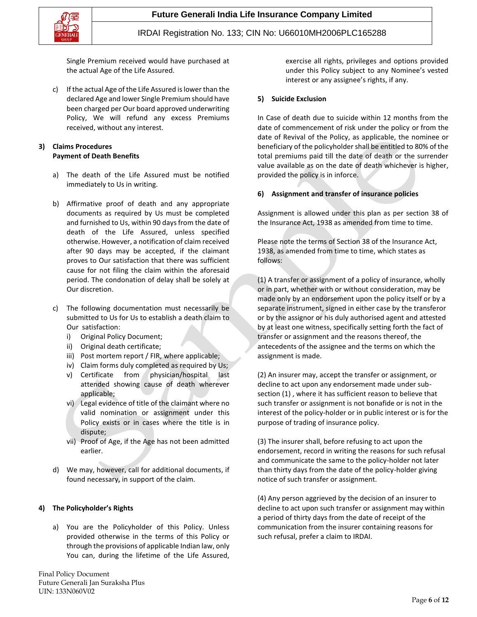

Single Premium received would have purchased at the actual Age of the Life Assured.

c) If the actual Age of the Life Assured is lower than the declared Age and lower Single Premium should have been charged per Our board approved underwriting Policy, We will refund any excess Premiums received, without any interest.

### **3) Claims Procedures Payment of Death Benefits**

- a) The death of the Life Assured must be notified immediately to Us in writing.
- b) Affirmative proof of death and any appropriate documents as required by Us must be completed and furnished to Us, within 90 days from the date of death of the Life Assured, unless specified otherwise. However, a notification of claim received after 90 days may be accepted, if the claimant proves to Our satisfaction that there was sufficient cause for not filing the claim within the aforesaid period. The condonation of delay shall be solely at Our discretion.
- c) The following documentation must necessarily be submitted to Us for Us to establish a death claim to Our satisfaction:
	- i) Original Policy Document;
	- ii) Original death certificate;
	- iii) Post mortem report / FIR, where applicable;
	- iv) Claim forms duly completed as required by Us;
	- v) Certificate from physician/hospital last attended showing cause of death wherever applicable;
	- vi) Legal evidence of title of the claimant where no valid nomination or assignment under this Policy exists or in cases where the title is in dispute;
	- vii) Proof of Age, if the Age has not been admitted earlier.
- d) We may, however, call for additional documents, if found necessary, in support of the claim.

### **4) The Policyholder's Rights**

a) You are the Policyholder of this Policy. Unless provided otherwise in the terms of this Policy or through the provisions of applicable Indian law, only You can, during the lifetime of the Life Assured,

Final Policy Document Future Generali Jan Suraksha Plus UIN: 133N060V02

exercise all rights, privileges and options provided under this Policy subject to any Nominee's vested interest or any assignee's rights, if any.

#### **5) Suicide Exclusion**

In Case of death due to suicide within 12 months from the date of commencement of risk under the policy or from the date of Revival of the Policy, as applicable, the nominee or beneficiary of the policyholder shall be entitled to 80% of the total premiums paid till the date of death or the surrender value available as on the date of death whichever is higher, provided the policy is in inforce.

#### **6) Assignment and transfer of insurance policies**

Assignment is allowed under this plan as per section 38 of the Insurance Act, 1938 as amended from time to time.

Please note the terms of Section 38 of the Insurance Act, 1938, as amended from time to time, which states as follows:

(1) A transfer or assignment of a policy of insurance, wholly or in part, whether with or without consideration, may be made only by an endorsement upon the policy itself or by a separate instrument, signed in either case by the transferor or by the assignor or his duly authorised agent and attested by at least one witness, specifically setting forth the fact of transfer or assignment and the reasons thereof, the antecedents of the assignee and the terms on which the assignment is made.

(2) An insurer may, accept the transfer or assignment, or decline to act upon any endorsement made under subsection (1) , where it has sufficient reason to believe that such transfer or assignment is not bonafide or is not in the interest of the policy-holder or in public interest or is for the purpose of trading of insurance policy.

(3) The insurer shall, before refusing to act upon the endorsement, record in writing the reasons for such refusal and communicate the same to the policy-holder not later than thirty days from the date of the policy-holder giving notice of such transfer or assignment.

(4) Any person aggrieved by the decision of an insurer to decline to act upon such transfer or assignment may within a period of thirty days from the date of receipt of the communication from the insurer containing reasons for such refusal, prefer a claim to IRDAI.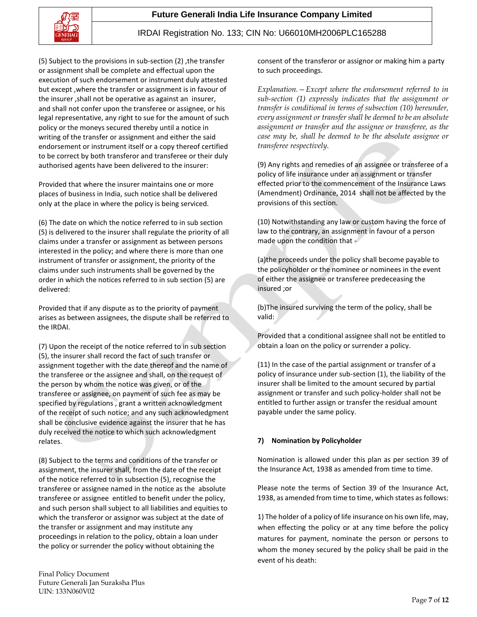



(5) Subject to the provisions in sub-section (2) ,the transfer or assignment shall be complete and effectual upon the execution of such endorsement or instrument duly attested but except ,where the transfer or assignment is in favour of the insurer ,shall not be operative as against an insurer, and shall not confer upon the transferee or assignee, or his legal representative, any right to sue for the amount of such policy or the moneys secured thereby until a notice in writing of the transfer or assignment and either the said endorsement or instrument itself or a copy thereof certified to be correct by both transferor and transferee or their duly authorised agents have been delivered to the insurer:

Provided that where the insurer maintains one or more places of business in India, such notice shall be delivered only at the place in where the policy is being serviced.

(6) The date on which the notice referred to in sub section (5) is delivered to the insurer shall regulate the priority of all claims under a transfer or assignment as between persons interested in the policy; and where there is more than one instrument of transfer or assignment, the priority of the claims under such instruments shall be governed by the order in which the notices referred to in sub section (5) are delivered:

Provided that if any dispute as to the priority of payment arises as between assignees, the dispute shall be referred to the IRDAI.

(7) Upon the receipt of the notice referred to in sub section (5), the insurer shall record the fact of such transfer or assignment together with the date thereof and the name of the transferee or the assignee and shall, on the request of the person by whom the notice was given, or of the transferee or assignee, on payment of such fee as may be specified by regulations , grant a written acknowledgment of the receipt of such notice; and any such acknowledgment shall be conclusive evidence against the insurer that he has duly received the notice to which such acknowledgment relates.

(8) Subject to the terms and conditions of the transfer or assignment, the insurer shall, from the date of the receipt of the notice referred to in subsection (5), recognise the transferee or assignee named in the notice as the absolute transferee or assignee entitled to benefit under the policy, and such person shall subject to all liabilities and equities to which the transferor or assignor was subject at the date of the transfer or assignment and may institute any proceedings in relation to the policy, obtain a loan under the policy or surrender the policy without obtaining the

consent of the transferor or assignor or making him a party to such proceedings.

*Explanation.—Except where the endorsement referred to in sub-section (1) expressly indicates that the assignment or transfer is conditional in terms of subsection (10) hereunder, every assignment or transfer shall be deemed to be an absolute assignment or transfer and the assignee or transferee, as the case may be, shall be deemed to be the absolute assignee or transferee respectively.*

(9) Any rights and remedies of an assignee or transferee of a policy of life insurance under an assignment or transfer effected prior to the commencement of the Insurance Laws (Amendment) Ordinance, 2014 shall not be affected by the provisions of this section.

(10) Notwithstanding any law or custom having the force of law to the contrary, an assignment in favour of a person made upon the condition that -

(a)the proceeds under the policy shall become payable to the policyholder or the nominee or nominees in the event of either the assignee or transferee predeceasing the insured ;or

(b)The insured surviving the term of the policy, shall be valid:

Provided that a conditional assignee shall not be entitled to obtain a loan on the policy or surrender a policy.

(11) In the case of the partial assignment or transfer of a policy of insurance under sub-section (1), the liability of the insurer shall be limited to the amount secured by partial assignment or transfer and such policy-holder shall not be entitled to further assign or transfer the residual amount payable under the same policy.

### **7) Nomination by Policyholder**

Nomination is allowed under this plan as per section 39 of the Insurance Act, 1938 as amended from time to time.

Please note the terms of Section 39 of the Insurance Act, 1938, as amended from time to time, which states as follows:

1) The holder of a policy of life insurance on his own life, may, when effecting the policy or at any time before the policy matures for payment, nominate the person or persons to whom the money secured by the policy shall be paid in the event of his death: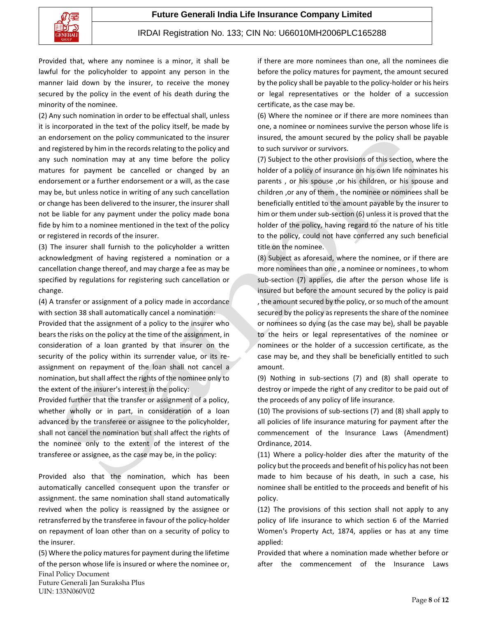

Provided that, where any nominee is a minor, it shall be lawful for the policyholder to appoint any person in the manner laid down by the insurer, to receive the money secured by the policy in the event of his death during the minority of the nominee.

(2) Any such nomination in order to be effectual shall, unless it is incorporated in the text of the policy itself, be made by an endorsement on the policy communicated to the insurer and registered by him in the records relating to the policy and any such nomination may at any time before the policy matures for payment be cancelled or changed by an endorsement or a further endorsement or a will, as the case may be, but unless notice in writing of any such cancellation or change has been delivered to the insurer, the insurer shall not be liable for any payment under the policy made bona fide by him to a nominee mentioned in the text of the policy or registered in records of the insurer.

(3) The insurer shall furnish to the policyholder a written acknowledgment of having registered a nomination or a cancellation change thereof, and may charge a fee as may be specified by regulations for registering such cancellation or change.

(4) A transfer or assignment of a policy made in accordance with section 38 shall automatically cancel a nomination:

Provided that the assignment of a policy to the insurer who bears the risks on the policy at the time of the assignment, in consideration of a loan granted by that insurer on the security of the policy within its surrender value, or its reassignment on repayment of the loan shall not cancel a nomination, but shall affect the rights of the nominee only to the extent of the insurer's interest in the policy:

Provided further that the transfer or assignment of a policy, whether wholly or in part, in consideration of a loan advanced by the transferee or assignee to the policyholder, shall not cancel the nomination but shall affect the rights of the nominee only to the extent of the interest of the transferee or assignee, as the case may be, in the policy:

Provided also that the nomination, which has been automatically cancelled consequent upon the transfer or assignment. the same nomination shall stand automatically revived when the policy is reassigned by the assignee or retransferred by the transferee in favour of the policy-holder on repayment of loan other than on a security of policy to the insurer.

Final Policy Document Future Generali Jan Suraksha Plus UIN: 133N060V02 (5) Where the policy matures for payment during the lifetime of the person whose life is insured or where the nominee or, if there are more nominees than one, all the nominees die before the policy matures for payment, the amount secured by the policy shall be payable to the policy-holder or his heirs or legal representatives or the holder of a succession certificate, as the case may be.

(6) Where the nominee or if there are more nominees than one, a nominee or nominees survive the person whose life is insured, the amount secured by the policy shall be payable to such survivor or survivors.

(7) Subject to the other provisions of this section, where the holder of a policy of insurance on his own life nominates his parents , or his spouse ,or his children, or his spouse and children ,or any of them , the nominee or nominees shall be beneficially entitled to the amount payable by the insurer to him or them under sub-section (6) unless it is proved that the holder of the policy, having regard to the nature of his title to the policy, could not have conferred any such beneficial title on the nominee.

(8) Subject as aforesaid, where the nominee, or if there are more nominees than one , a nominee or nominees , to whom sub-section (7) applies, die after the person whose life is insured but before the amount secured by the policy is paid , the amount secured by the policy, or so much of the amount secured by the policy as represents the share of the nominee or nominees so dying (as the case may be), shall be payable to the heirs or legal representatives of the nominee or nominees or the holder of a succession certificate, as the case may be, and they shall be beneficially entitled to such amount.

(9) Nothing in sub-sections (7) and (8) shall operate to destroy or impede the right of any creditor to be paid out of the proceeds of any policy of life insurance.

(10) The provisions of sub-sections (7) and (8) shall apply to all policies of life insurance maturing for payment after the commencement of the Insurance Laws (Amendment) Ordinance, 2014.

(11) Where a policy-holder dies after the maturity of the policy but the proceeds and benefit of his policy has not been made to him because of his death, in such a case, his nominee shall be entitled to the proceeds and benefit of his policy.

(12) The provisions of this section shall not apply to any policy of life insurance to which section 6 of the Married Women's Property Act, 1874, applies or has at any time applied:

Provided that where a nomination made whether before or after the commencement of the Insurance Laws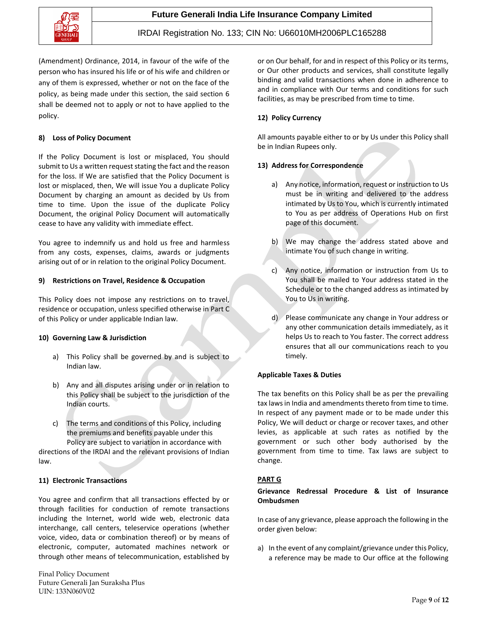

(Amendment) Ordinance, 2014, in favour of the wife of the person who has insured his life or of his wife and children or any of them is expressed, whether or not on the face of the policy, as being made under this section, the said section 6 shall be deemed not to apply or not to have applied to the policy.

### **8) Loss of Policy Document**

If the Policy Document is lost or misplaced, You should submit to Us a written request stating the fact and the reason for the loss. If We are satisfied that the Policy Document is lost or misplaced, then, We will issue You a duplicate Policy Document by charging an amount as decided by Us from time to time. Upon the issue of the duplicate Policy Document, the original Policy Document will automatically cease to have any validity with immediate effect.

You agree to indemnify us and hold us free and harmless from any costs, expenses, claims, awards or judgments arising out of or in relation to the original Policy Document.

### **9) Restrictions on Travel, Residence & Occupation**

This Policy does not impose any restrictions on to travel, residence or occupation, unless specified otherwise in Part C of this Policy or under applicable Indian law.

### **10) Governing Law & Jurisdiction**

- a) This Policy shall be governed by and is subject to Indian law.
- b) Any and all disputes arising under or in relation to this Policy shall be subject to the jurisdiction of the Indian courts.
- c) The terms and conditions of this Policy, including the premiums and benefits payable under this Policy are subject to variation in accordance with

directions of the IRDAI and the relevant provisions of Indian law.

### **11) Electronic Transactions**

You agree and confirm that all transactions effected by or through facilities for conduction of remote transactions including the Internet, world wide web, electronic data interchange, call centers, teleservice operations (whether voice, video, data or combination thereof) or by means of electronic, computer, automated machines network or through other means of telecommunication, established by

Final Policy Document Future Generali Jan Suraksha Plus UIN: 133N060V02

or on Our behalf, for and in respect of this Policy or its terms, or Our other products and services, shall constitute legally binding and valid transactions when done in adherence to and in compliance with Our terms and conditions for such facilities, as may be prescribed from time to time.

### **12) Policy Currency**

All amounts payable either to or by Us under this Policy shall be in Indian Rupees only.

### **13) Address for Correspondence**

- a) Any notice, information, request or instruction to Us must be in writing and delivered to the address intimated by Us to You, which is currently intimated to You as per address of Operations Hub on first page of this document.
- b) We may change the address stated above and intimate You of such change in writing.
- c) Any notice, information or instruction from Us to You shall be mailed to Your address stated in the Schedule or to the changed address as intimated by You to Us in writing.
- d) Please communicate any change in Your address or any other communication details immediately, as it helps Us to reach to You faster. The correct address ensures that all our communications reach to you timely.

### **Applicable Taxes & Duties**

The tax benefits on this Policy shall be as per the prevailing tax laws in India and amendments thereto from time to time. In respect of any payment made or to be made under this Policy, We will deduct or charge or recover taxes, and other levies, as applicable at such rates as notified by the government or such other body authorised by the government from time to time. Tax laws are subject to change.

### **PART G**

### **Grievance Redressal Procedure & List of Insurance Ombudsmen**

In case of any grievance, please approach the following in the order given below:

a) In the event of any complaint/grievance under this Policy, a reference may be made to Our office at the following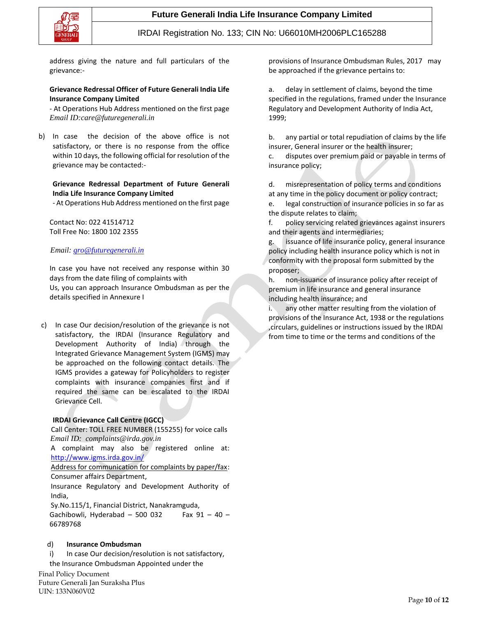

address giving the nature and full particulars of the grievance:-

### **Grievance Redressal Officer of Future Generali India Life Insurance Company Limited**

- At Operations Hub Address mentioned on the first page *Email ID:care@futuregenerali.in*

b) In case the decision of the above office is not satisfactory, or there is no response from the office within 10 days, the following official for resolution of the grievance may be contacted:-

### **Grievance Redressal Department of Future Generali India Life Insurance Company Limited**

- At Operations Hub Address mentioned on the first page

Contact No: 022 41514712 Toll Free No: 1800 102 2355

### *Email: [gro@futuregenerali.in](mailto:gro@futuregenerali.in)*

In case you have not received any response within 30 days from the date filing of complaints with

Us, you can approach Insurance Ombudsman as per the details specified in Annexure I

c) In case Our decision/resolution of the grievance is not satisfactory, the IRDAI (Insurance Regulatory and Development Authority of India) through the Integrated Grievance Management System (IGMS) may be approached on the following contact details. The IGMS provides a gateway for Policyholders to register complaints with insurance companies first and if required the same can be escalated to the IRDAI Grievance Cell.

### **IRDAI Grievance Call Centre (IGCC)**

 Call Center: TOLL FREE NUMBER (155255) for voice calls  *Email ID: complaints@irda.gov.in*

A complaint may also be registered online at: <http://www.igms.irda.gov.in/>

Address for communication for complaints by paper/fax: Consumer affairs Department,

Insurance Regulatory and Development Authority of India,

Sy.No.115/1, Financial District, Nanakramguda, Gachibowli, Hyderabad - 500 032 Fax  $91 - 40$  -66789768

### d) **Insurance Ombudsman**

i) In case Our decision/resolution is not satisfactory,

the Insurance Ombudsman Appointed under the

Final Policy Document Future Generali Jan Suraksha Plus UIN: 133N060V02

provisions of Insurance Ombudsman Rules, 2017 may be approached if the grievance pertains to:

a. delay in settlement of claims, beyond the time specified in the regulations, framed under the Insurance Regulatory and Development Authority of India Act, 1999;

b. any partial or total repudiation of claims by the life insurer, General insurer or the health insurer;

c. disputes over premium paid or payable in terms of insurance policy;

d. misrepresentation of policy terms and conditions at any time in the policy document or policy contract;

e. legal construction of insurance policies in so far as the dispute relates to claim;

f. policy servicing related grievances against insurers and their agents and intermediaries;

g. issuance of life insurance policy, general insurance policy including health insurance policy which is not in conformity with the proposal form submitted by the proposer;

h. non-issuance of insurance policy after receipt of premium in life insurance and general insurance including health insurance; and

i. any other matter resulting from the violation of provisions of the Insurance Act, 1938 or the regulations ,circulars, guidelines or instructions issued by the IRDAI from time to time or the terms and conditions of the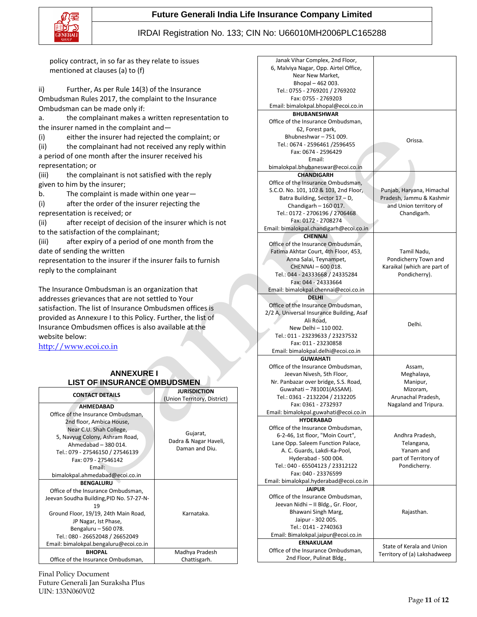

### **Future Generali India Life Insurance Company Limited**

### IRDAI Registration No. 133; CIN No: U66010MH2006PLC165288

Janak Vihar Complex, 2nd Floor, 6, Malviya Nagar, Opp. Airtel Office, Near New Market,

policy contract, in so far as they relate to issues mentioned at clauses (a) to (f)

ii) Further, As per Rule 14(3) of the Insurance Ombudsman Rules 2017, the complaint to the Insurance Ombudsman can be made only if:

a. the complainant makes a written representation to the insurer named in the complaint and—

(i) either the insurer had rejected the complaint; or

(ii) the complainant had not received any reply within a period of one month after the insurer received his representation; or

(iii) the complainant is not satisfied with the reply given to him by the insurer;

b. The complaint is made within one year—

(i) after the order of the insurer rejecting the representation is received; or

(ii) after receipt of decision of the insurer which is not to the satisfaction of the complainant;

(iii) after expiry of a period of one month from the date of sending the written

representation to the insurer if the insurer fails to furnish reply to the complainant

The Insurance Ombudsman is an organization that addresses grievances that are not settled to Your satisfaction. The list of Insurance Ombudsmen offices is provided as Annexure I to this Policy. Further, the list of Insurance Ombudsmen offices is also available at the website below:

[http://www.ecoi.co.in](http://www.ecoi.co.in/)

### **ANNEXURE I LIST OF INSURANCE OMBUDSMEN**

| <b>CONTACT DETAILS</b>                   | <b>JURISDICTION</b>         |  |  |
|------------------------------------------|-----------------------------|--|--|
|                                          | (Union Territory, District) |  |  |
| <b>AHMFDABAD</b>                         |                             |  |  |
| Office of the Insurance Ombudsman,       |                             |  |  |
| 2nd floor, Ambica House,                 |                             |  |  |
| Near C.U. Shah College,                  |                             |  |  |
| 5, Navyug Colony, Ashram Road,           | Gujarat,                    |  |  |
| Ahmedabad - 380 014.                     | Dadra & Nagar Haveli,       |  |  |
| Tel.: 079 - 27546150 / 27546139          | Daman and Diu.              |  |  |
| Fax: 079 - 27546142                      |                             |  |  |
| Email:                                   |                             |  |  |
| bimalokpal.ahmedabad@ecoi.co.in          |                             |  |  |
| <b>BFNGALURU</b>                         |                             |  |  |
| Office of the Insurance Ombudsman,       |                             |  |  |
| Jeevan Soudha Building, PID No. 57-27-N- |                             |  |  |
| 19                                       |                             |  |  |
| Ground Floor, 19/19, 24th Main Road,     | Karnataka.                  |  |  |
| JP Nagar, Ist Phase,                     |                             |  |  |
| Bengaluru - 560 078.                     |                             |  |  |
| Tel.: 080 - 26652048 / 26652049          |                             |  |  |
| Email: bimalokpal.bengaluru@ecoi.co.in   |                             |  |  |
| <b>BHOPAL</b>                            | Madhya Pradesh              |  |  |
| Office of the Insurance Ombudsman,       | Chattisgarh.                |  |  |

Bhopal – 462 003. Tel.: 0755 - 2769201 / 2769202 Fax: 0755 - 2769203 Email: bimalokpal.bhopal@ecoi.co.in **BHUBANESHWAR**  Office of the Insurance Ombudsman, 62, Forest park, Bhubneshwar – 751 009. Tel.: 0674 - 2596461 /2596455 Fax: 0674 - 2596429 Email: bimalokpal.bhubaneswar@ecoi.co.in Orissa. **CHANDIGARH**  Office of the Insurance Ombudsman, S.C.O. No. 101, 102 & 103, 2nd Floor, Batra Building, Sector 17 – D, Chandigarh – 160 017. Tel.: 0172 - 2706196 / 2706468 Fax: 0172 - 2708274 Email: bimalokpal.chandigarh@ecoi.co.in Punjab, Haryana, Himachal Pradesh, Jammu & Kashmir and Union territory of Chandigarh. **CHENNAI**  Office of the Insurance Ombudsman, Fatima Akhtar Court, 4th Floor, 453, Anna Salai, Teynampet, CHENNAI – 600 018. Tel.: 044 - 24333668 / 24335284 Fax: 044 - 24333664 Email: bimalokpal.chennai@ecoi.co.in Tamil Nadu, Pondicherry Town and Karaikal (which are part of Pondicherry). **DELHI**  Office of the Insurance Ombudsman, 2/2 A, Universal Insurance Building, Asaf Ali Road, New Delhi – 110 002. Tel.: 011 - 23239633 / 23237532 Fax: 011 - 23230858 Email: bimalokpal.delhi@ecoi.co.in Delhi. **GUWAHATI**  Office of the Insurance Ombudsman, Jeevan Nivesh, 5th Floor, Nr. Panbazar over bridge, S.S. Road, Guwahati – 781001(ASSAM). Tel.: 0361 - 2132204 / 2132205 Fax: 0361 - 2732937 Email: bimalokpal.guwahati@ecoi.co.in Assam, Meghalaya, Manipur, Mizoram, Arunachal Pradesh, Nagaland and Tripura. **HYDERABAD**  Office of the Insurance Ombudsman, 6-2-46, 1st floor, "Moin Court", Lane Opp. Saleem Function Palace, A. C. Guards, Lakdi-Ka-Pool, Hyderabad - 500 004. Tel.: 040 - 65504123 / 23312122 Fax: 040 - 23376599 Email: bimalokpal.hyderabad@ecoi.co.in Andhra Pradesh, Telangana, Yanam and part of Territory of Pondicherry. **JAIPUR**  Office of the Insurance Ombudsman, Jeevan Nidhi – II Bldg., Gr. Floor, Bhawani Singh Marg, Jaipur - 302 005. Tel.: 0141 - 2740363 Email: Bimalokpal.jaipur@ecoi.co.in Rajasthan. **ERNAKULAM**  Office of the Insurance Ombudsman, 2nd Floor, Pulinat Bldg., State of Kerala and Union Territory of (a) Lakshadweep